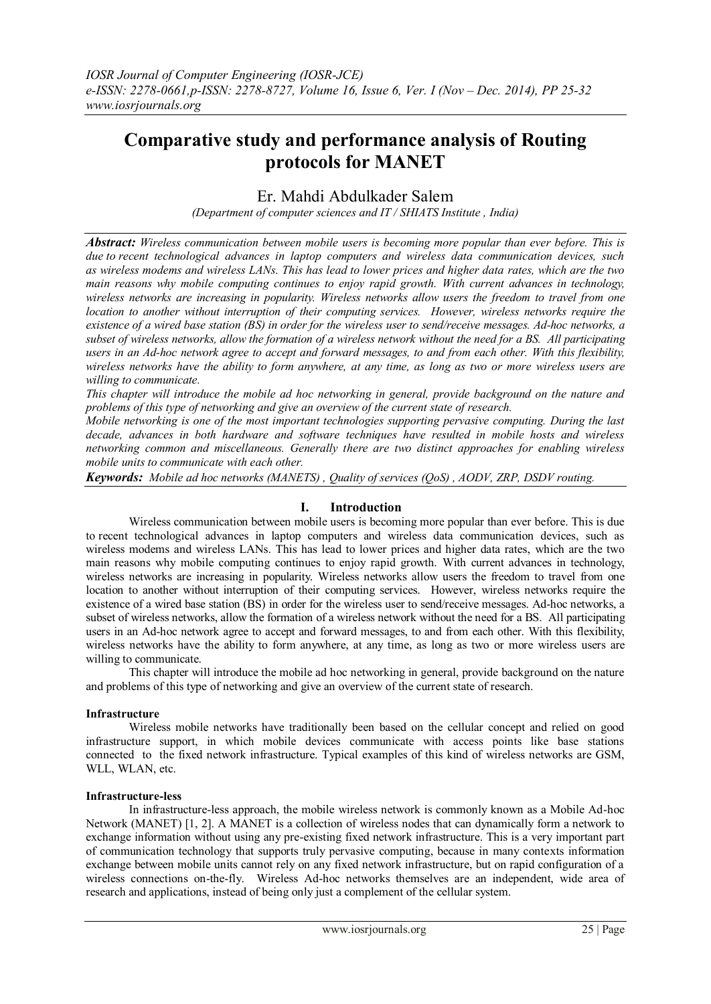# **Comparative study and performance analysis of Routing protocols for MANET**

Er. Mahdi Abdulkader Salem

*(Department of computer sciences and IT / SHIATS Institute , India)*

*Abstract: Wireless communication between mobile users is becoming more popular than ever before. This is due to recent technological advances in laptop computers and wireless data communication devices, such as wireless modems and wireless LANs. This has lead to lower prices and higher data rates, which are the two main reasons why mobile computing continues to enjoy rapid growth. With current advances in technology, wireless networks are increasing in popularity. Wireless networks allow users the freedom to travel from one location to another without interruption of their computing services. However, wireless networks require the*  existence of a wired base station (BS) in order for the wireless user to send/receive messages. Ad-hoc networks, a subset of wireless networks, allow the formation of a wireless network without the need for a BS. All participating users in an Ad-hoc network agree to accept and forward messages, to and from each other. With this flexibility, *wireless networks have the ability to form anywhere, at any time, as long as two or more wireless users are willing to communicate.*

*This chapter will introduce the mobile ad hoc networking in general, provide background on the nature and problems of this type of networking and give an overview of the current state of research.* 

*Mobile networking is one of the most important technologies supporting pervasive computing. During the last decade, advances in both hardware and software techniques have resulted in mobile hosts and wireless networking common and miscellaneous. Generally there are two distinct approaches for enabling wireless mobile units to communicate with each other.*

*Keywords: Mobile ad hoc networks (MANETS) , Quality of services (QoS) , AODV, ZRP, DSDV routing.*

# **I. Introduction**

Wireless communication between mobile users is becoming more popular than ever before. This is due to recent technological advances in laptop computers and wireless data communication devices, such as wireless modems and wireless LANs. This has lead to lower prices and higher data rates, which are the two main reasons why mobile computing continues to enjoy rapid growth. With current advances in technology, wireless networks are increasing in popularity. Wireless networks allow users the freedom to travel from one location to another without interruption of their computing services. However, wireless networks require the existence of a wired base station (BS) in order for the wireless user to send/receive messages. Ad-hoc networks, a subset of wireless networks, allow the formation of a wireless network without the need for a BS. All participating users in an Ad-hoc network agree to accept and forward messages, to and from each other. With this flexibility, wireless networks have the ability to form anywhere, at any time, as long as two or more wireless users are willing to communicate.

This chapter will introduce the mobile ad hoc networking in general, provide background on the nature and problems of this type of networking and give an overview of the current state of research.

#### **Infrastructure**

Wireless mobile networks have traditionally been based on the cellular concept and relied on good infrastructure support, in which mobile devices communicate with access points like base stations connected to the fixed network infrastructure. Typical examples of this kind of wireless networks are GSM, WLL, WLAN, etc.

#### **Infrastructure-less**

In infrastructure-less approach, the mobile wireless network is commonly known as a Mobile Ad-hoc Network (MANET) [1, 2]. A MANET is a collection of wireless nodes that can dynamically form a network to exchange information without using any pre-existing fixed network infrastructure. This is a very important part of communication technology that supports truly pervasive computing, because in many contexts information exchange between mobile units cannot rely on any fixed network infrastructure, but on rapid configuration of a wireless connections on-the-fly. Wireless Ad-hoc networks themselves are an independent, wide area of research and applications, instead of being only just a complement of the cellular system.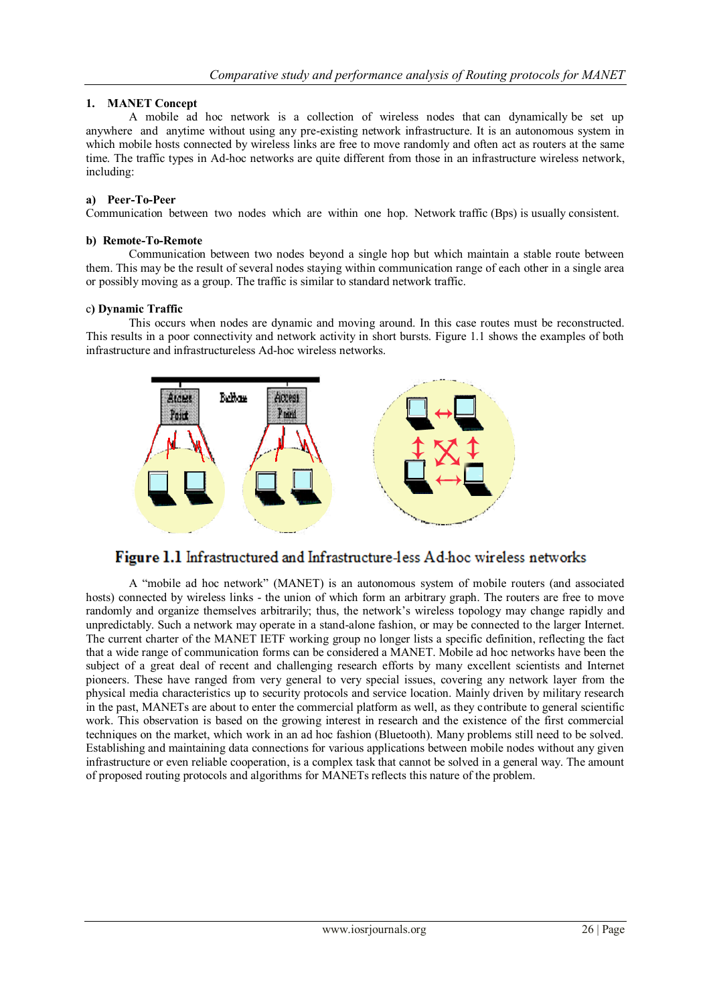# **1. MANET Concept**

A mobile ad hoc network is a collection of wireless nodes that can dynamically be set up anywhere and anytime without using any pre-existing network infrastructure. It is an autonomous system in which mobile hosts connected by wireless links are free to move randomly and often act as routers at the same time. The traffic types in Ad-hoc networks are quite different from those in an infrastructure wireless network, including:

### **a) Peer-To-Peer**

Communication between two nodes which are within one hop. Network traffic (Bps) is usually consistent.

#### **b) Remote-To-Remote**

Communication between two nodes beyond a single hop but which maintain a stable route between them. This may be the result of several nodes staying within communication range of each other in a single area or possibly moving as a group. The traffic is similar to standard network traffic.

#### c**) Dynamic Traffic**

This occurs when nodes are dynamic and moving around. In this case routes must be reconstructed. This results in a poor connectivity and network activity in short bursts. Figure 1.1 shows the examples of both infrastructure and infrastructureless Ad-hoc wireless networks.



# Figure 1.1 Infrastructured and Infrastructure-less Ad-hoc wireless networks

A "mobile ad hoc network" (MANET) is an autonomous system of mobile routers (and associated hosts) connected by wireless links - the union of which form an arbitrary graph. The routers are free to move randomly and organize themselves arbitrarily; thus, the network"s wireless topology may change rapidly and unpredictably. Such a network may operate in a stand-alone fashion, or may be connected to the larger Internet. The current charter of the MANET IETF working group no longer lists a specific definition, reflecting the fact that a wide range of communication forms can be considered a MANET. Mobile ad hoc networks have been the subject of a great deal of recent and challenging research efforts by many excellent scientists and Internet pioneers. These have ranged from very general to very special issues, covering any network layer from the physical media characteristics up to security protocols and service location. Mainly driven by military research in the past, MANETs are about to enter the commercial platform as well, as they contribute to general scientific work. This observation is based on the growing interest in research and the existence of the first commercial techniques on the market, which work in an ad hoc fashion (Bluetooth). Many problems still need to be solved. Establishing and maintaining data connections for various applications between mobile nodes without any given infrastructure or even reliable cooperation, is a complex task that cannot be solved in a general way. The amount of proposed routing protocols and algorithms for MANETs reflects this nature of the problem.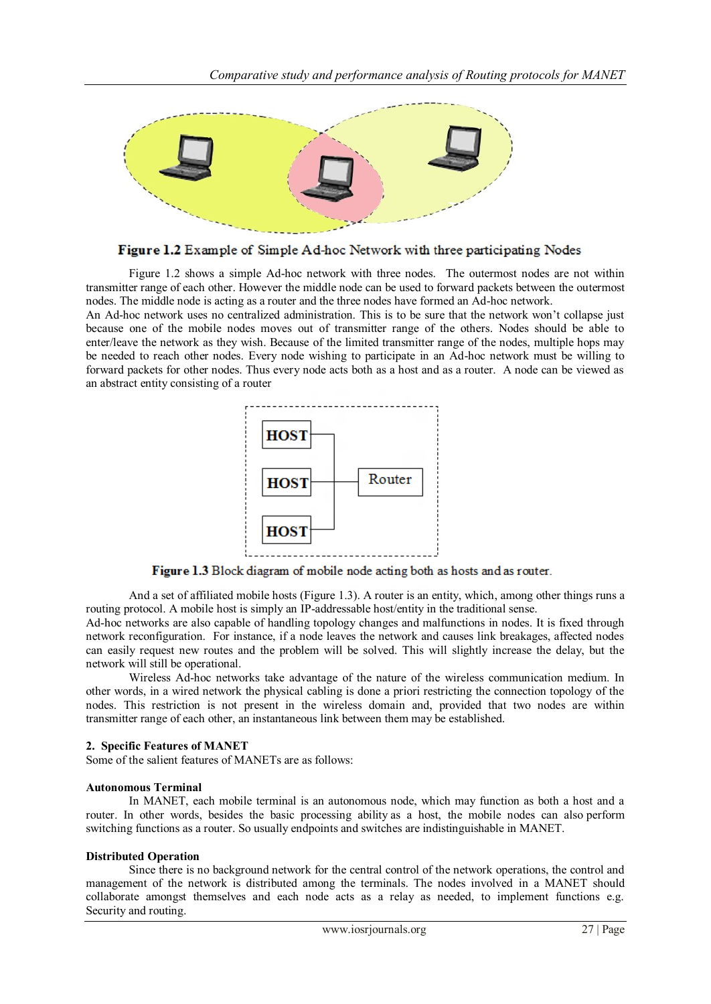

Figure 1.2 Example of Simple Ad-hoc Network with three participating Nodes

Figure 1.2 shows a simple Ad-hoc network with three nodes. The outermost nodes are not within transmitter range of each other. However the middle node can be used to forward packets between the outermost nodes. The middle node is acting as a router and the three nodes have formed an Ad-hoc network.

An Ad-hoc network uses no centralized administration. This is to be sure that the network won"t collapse just because one of the mobile nodes moves out of transmitter range of the others. Nodes should be able to enter/leave the network as they wish. Because of the limited transmitter range of the nodes, multiple hops may be needed to reach other nodes. Every node wishing to participate in an Ad-hoc network must be willing to forward packets for other nodes. Thus every node acts both as a host and as a router. A node can be viewed as an abstract entity consisting of a router



Figure 1.3 Block diagram of mobile node acting both as hosts and as router.

And a set of affiliated mobile hosts (Figure 1.3). A router is an entity, which, among other things runs a routing protocol. A mobile host is simply an IP-addressable host/entity in the traditional sense.

Ad-hoc networks are also capable of handling topology changes and malfunctions in nodes. It is fixed through network reconfiguration. For instance, if a node leaves the network and causes link breakages, affected nodes can easily request new routes and the problem will be solved. This will slightly increase the delay, but the network will still be operational.

Wireless Ad-hoc networks take advantage of the nature of the wireless communication medium. In other words, in a wired network the physical cabling is done a priori restricting the connection topology of the nodes. This restriction is not present in the wireless domain and, provided that two nodes are within transmitter range of each other, an instantaneous link between them may be established.

# **2. Specific Features of MANET**

Some of the salient features of MANETs are as follows:

# **Autonomous Terminal**

In MANET, each mobile terminal is an autonomous node, which may function as both a host and a router. In other words, besides the basic processing ability as a host, the mobile nodes can also perform switching functions as a router. So usually endpoints and switches are indistinguishable in MANET.

# **Distributed Operation**

Since there is no background network for the central control of the network operations, the control and management of the network is distributed among the terminals. The nodes involved in a MANET should collaborate amongst themselves and each node acts as a relay as needed, to implement functions e.g. Security and routing.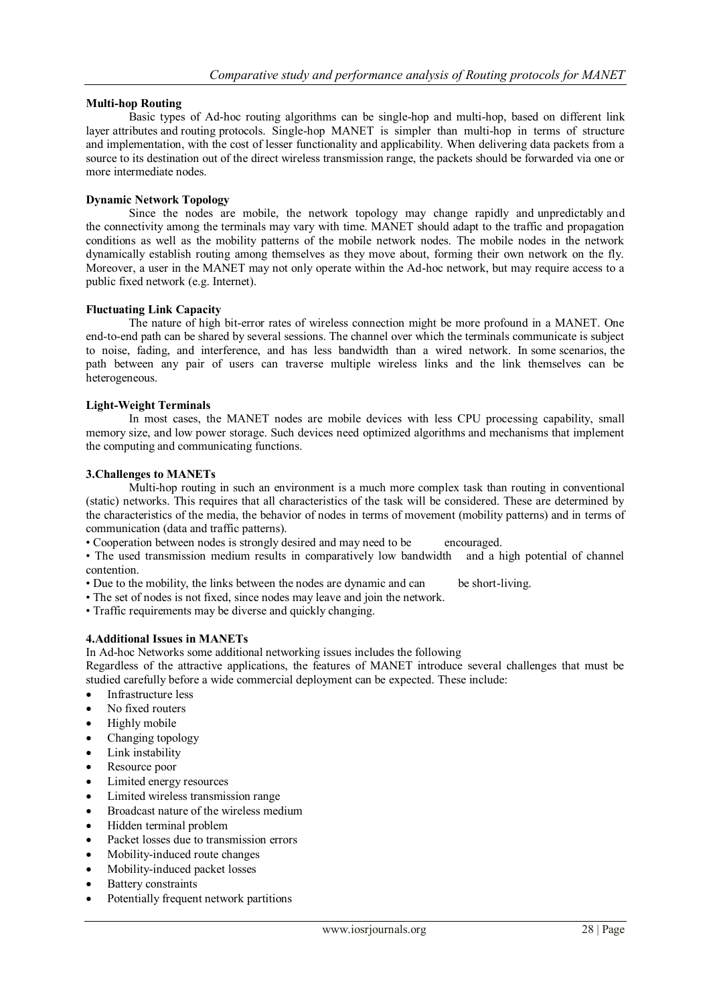#### **Multi-hop Routing**

Basic types of Ad-hoc routing algorithms can be single-hop and multi-hop, based on different link layer attributes and routing protocols. Single-hop MANET is simpler than multi-hop in terms of structure and implementation, with the cost of lesser functionality and applicability. When delivering data packets from a source to its destination out of the direct wireless transmission range, the packets should be forwarded via one or more intermediate nodes.

#### **Dynamic Network Topology**

Since the nodes are mobile, the network topology may change rapidly and unpredictably and the connectivity among the terminals may vary with time. MANET should adapt to the traffic and propagation conditions as well as the mobility patterns of the mobile network nodes. The mobile nodes in the network dynamically establish routing among themselves as they move about, forming their own network on the fly. Moreover, a user in the MANET may not only operate within the Ad-hoc network, but may require access to a public fixed network (e.g. Internet).

#### **Fluctuating Link Capacity**

The nature of high bit-error rates of wireless connection might be more profound in a MANET. One end-to-end path can be shared by several sessions. The channel over which the terminals communicate is subject to noise, fading, and interference, and has less bandwidth than a wired network. In some scenarios, the path between any pair of users can traverse multiple wireless links and the link themselves can be heterogeneous.

#### **Light-Weight Terminals**

In most cases, the MANET nodes are mobile devices with less CPU processing capability, small memory size, and low power storage. Such devices need optimized algorithms and mechanisms that implement the computing and communicating functions.

#### **3.Challenges to MANETs**

Multi-hop routing in such an environment is a much more complex task than routing in conventional (static) networks. This requires that all characteristics of the task will be considered. These are determined by the characteristics of the media, the behavior of nodes in terms of movement (mobility patterns) and in terms of communication (data and traffic patterns).

• Cooperation between nodes is strongly desired and may need to be encouraged.

• The used transmission medium results in comparatively low bandwidth and a high potential of channel contention.

• Due to the mobility, the links between the nodes are dynamic and can be short-living.

- The set of nodes is not fixed, since nodes may leave and join the network.
- Traffic requirements may be diverse and quickly changing.

# **4.Additional Issues in MANETs**

In Ad-hoc Networks some additional networking issues includes the following

Regardless of the attractive applications, the features of MANET introduce several challenges that must be studied carefully before a wide commercial deployment can be expected. These include:

- Infrastructure less
- No fixed routers
- Highly mobile
- Changing topology
- Link instability
- Resource poor
- Limited energy resources
- Limited wireless transmission range
- Broadcast nature of the wireless medium
- Hidden terminal problem
- Packet losses due to transmission errors
- Mobility-induced route changes
- Mobility-induced packet losses
- Battery constraints
- Potentially frequent network partitions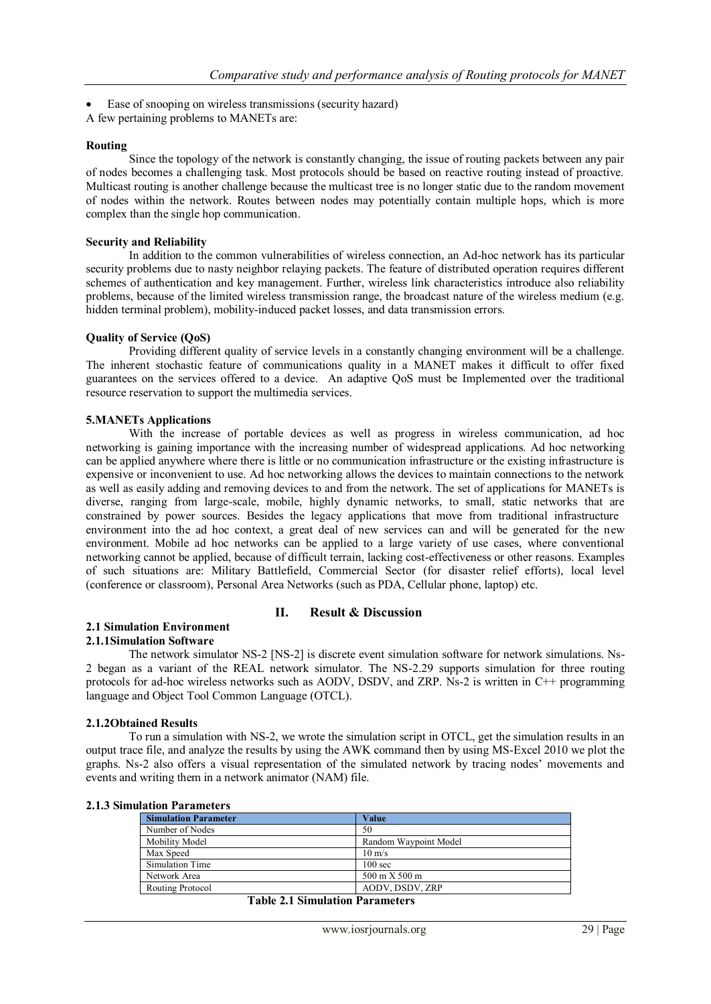Ease of snooping on wireless transmissions (security hazard)

A few pertaining problems to MANETs are:

#### **Routing**

Since the topology of the network is constantly changing, the issue of routing packets between any pair of nodes becomes a challenging task. Most protocols should be based on reactive routing instead of proactive. Multicast routing is another challenge because the multicast tree is no longer static due to the random movement of nodes within the network. Routes between nodes may potentially contain multiple hops, which is more complex than the single hop communication.

#### **Security and Reliability**

In addition to the common vulnerabilities of wireless connection, an Ad-hoc network has its particular security problems due to nasty neighbor relaying packets. The feature of distributed operation requires different schemes of authentication and key management. Further, wireless link characteristics introduce also reliability problems, because of the limited wireless transmission range, the broadcast nature of the wireless medium (e.g. hidden terminal problem), mobility-induced packet losses, and data transmission errors.

#### **Quality of Service (QoS)**

Providing different quality of service levels in a constantly changing environment will be a challenge. The inherent stochastic feature of communications quality in a MANET makes it difficult to offer fixed guarantees on the services offered to a device. An adaptive QoS must be Implemented over the traditional resource reservation to support the multimedia services.

#### **5.MANETs Applications**

With the increase of portable devices as well as progress in wireless communication, ad hoc networking is gaining importance with the increasing number of widespread applications. Ad hoc networking can be applied anywhere where there is little or no communication infrastructure or the existing infrastructure is expensive or inconvenient to use. Ad hoc networking allows the devices to maintain connections to the network as well as easily adding and removing devices to and from the network. The set of applications for MANETs is diverse, ranging from large-scale, mobile, highly dynamic networks, to small, static networks that are constrained by power sources. Besides the legacy applications that move from traditional infrastructure environment into the ad hoc context, a great deal of new services can and will be generated for the new environment. Mobile ad hoc networks can be applied to a large variety of use cases, where conventional networking cannot be applied, because of difficult terrain, lacking cost-effectiveness or other reasons. Examples of such situations are: Military Battlefield, Commercial Sector (for disaster relief efforts), local level (conference or classroom), Personal Area Networks (such as PDA, Cellular phone, laptop) etc.

# **2.1 Simulation Environment**

# **II. Result & Discussion**

# **2.1.1Simulation Software**

The network simulator NS-2 [NS-2] is discrete event simulation software for network simulations. Ns-2 began as a variant of the REAL network simulator. The NS-2.29 supports simulation for three routing protocols for ad-hoc wireless networks such as AODV, DSDV, and ZRP. Ns-2 is written in C++ programming language and Object Tool Common Language (OTCL).

# **2.1.2Obtained Results**

To run a simulation with NS-2, we wrote the simulation script in OTCL, get the simulation results in an output trace file, and analyze the results by using the AWK command then by using MS-Excel 2010 we plot the graphs. Ns-2 also offers a visual representation of the simulated network by tracing nodes" movements and events and writing them in a network animator (NAM) file.

| <b>Simulation Parameter</b> | Value                 |  |  |  |
|-----------------------------|-----------------------|--|--|--|
| Number of Nodes             | 50                    |  |  |  |
| Mobility Model              | Random Waypoint Model |  |  |  |
| Max Speed                   | $10 \text{ m/s}$      |  |  |  |
| Simulation Time             | $100 \text{ sec}$     |  |  |  |
| Network Area                | 500 m X 500 m         |  |  |  |
| Routing Protocol            | AODV, DSDV, ZRP       |  |  |  |
| __ _ _ _ _ _ _<br>$ -$      |                       |  |  |  |

#### **2.1.3 Simulation Parameters**

|  | <b>Table 2.1 Simulation Parameters</b> |  |
|--|----------------------------------------|--|
|  |                                        |  |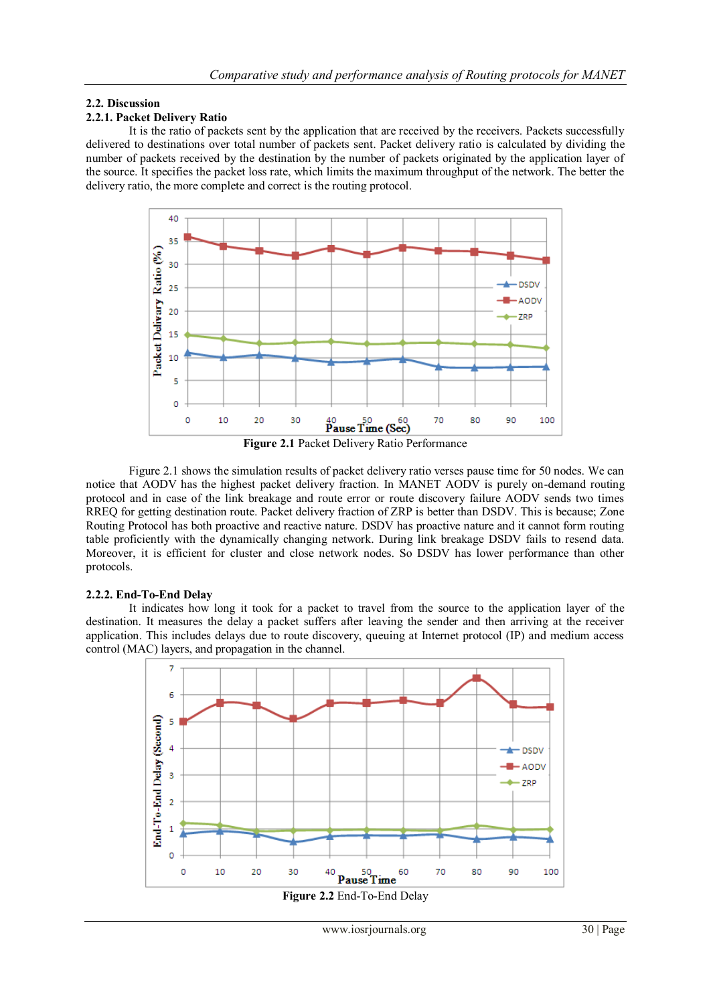# **2.2. Discussion**

#### **2.2.1. Packet Delivery Ratio**

It is the ratio of packets sent by the application that are received by the receivers. Packets successfully delivered to destinations over total number of packets sent. Packet delivery ratio is calculated by dividing the number of packets received by the destination by the number of packets originated by the application layer of the source. It specifies the packet loss rate, which limits the maximum throughput of the network. The better the delivery ratio, the more complete and correct is the routing protocol.



Figure 2.1 shows the simulation results of packet delivery ratio verses pause time for 50 nodes. We can notice that AODV has the highest packet delivery fraction. In MANET AODV is purely on-demand routing protocol and in case of the link breakage and route error or route discovery failure AODV sends two times RREQ for getting destination route. Packet delivery fraction of ZRP is better than DSDV. This is because; Zone Routing Protocol has both proactive and reactive nature. DSDV has proactive nature and it cannot form routing table proficiently with the dynamically changing network. During link breakage DSDV fails to resend data. Moreover, it is efficient for cluster and close network nodes. So DSDV has lower performance than other protocols.

# **2.2.2. End-To-End Delay**

It indicates how long it took for a packet to travel from the source to the application layer of the destination. It measures the delay a packet suffers after leaving the sender and then arriving at the receiver application. This includes delays due to route discovery, queuing at Internet protocol (IP) and medium access control (MAC) layers, and propagation in the channel.

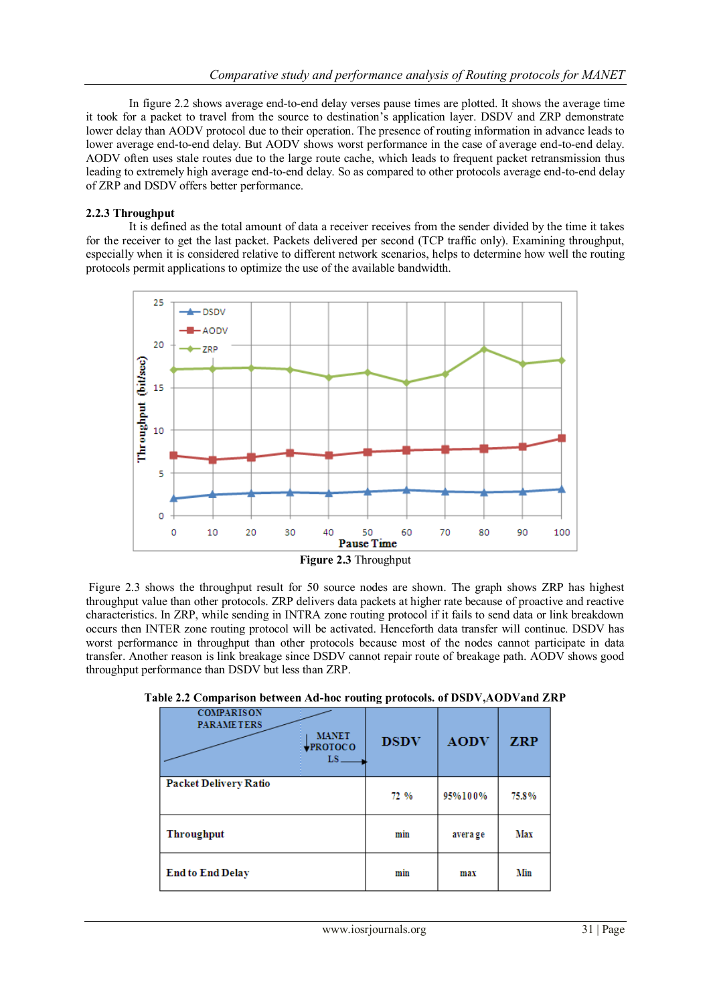In figure 2.2 shows average end-to-end delay verses pause times are plotted. It shows the average time it took for a packet to travel from the source to destination"s application layer. DSDV and ZRP demonstrate lower delay than AODV protocol due to their operation. The presence of routing information in advance leads to lower average end-to-end delay. But AODV shows worst performance in the case of average end-to-end delay. AODV often uses stale routes due to the large route cache, which leads to frequent packet retransmission thus leading to extremely high average end-to-end delay. So as compared to other protocols average end-to-end delay of ZRP and DSDV offers better performance.

# **2.2.3 Throughput**

It is defined as the total amount of data a receiver receives from the sender divided by the time it takes for the receiver to get the last packet. Packets delivered per second (TCP traffic only). Examining throughput, especially when it is considered relative to different network scenarios, helps to determine how well the routing protocols permit applications to optimize the use of the available bandwidth.



Figure 2.3 shows the throughput result for 50 source nodes are shown. The graph shows ZRP has highest throughput value than other protocols. ZRP delivers data packets at higher rate because of proactive and reactive characteristics. In ZRP, while sending in INTRA zone routing protocol if it fails to send data or link breakdown occurs then INTER zone routing protocol will be activated. Henceforth data transfer will continue. DSDV has worst performance in throughput than other protocols because most of the nodes cannot participate in data transfer. Another reason is link breakage since DSDV cannot repair route of breakage path. AODV shows good throughput performance than DSDV but less than ZRP.

| <b>COMPARISON</b><br><b>PARAMETERS</b> | <b>MANET</b><br><b>FROTOCO</b><br>$LS$ $-$ | <b>DSDV</b> | <b>AODV</b> | <b>ZRP</b> |
|----------------------------------------|--------------------------------------------|-------------|-------------|------------|
| <b>Packet Delivery Ratio</b>           |                                            | 72 %        | 95%100%     | 75.8%      |
| Throughput                             |                                            | min         | avera ge    | Max        |
| <b>End to End Delay</b>                |                                            | min         | max         | Min        |

**Table 2.2 Comparison between Ad-hoc routing protocols. of DSDV,AODVand ZRP**